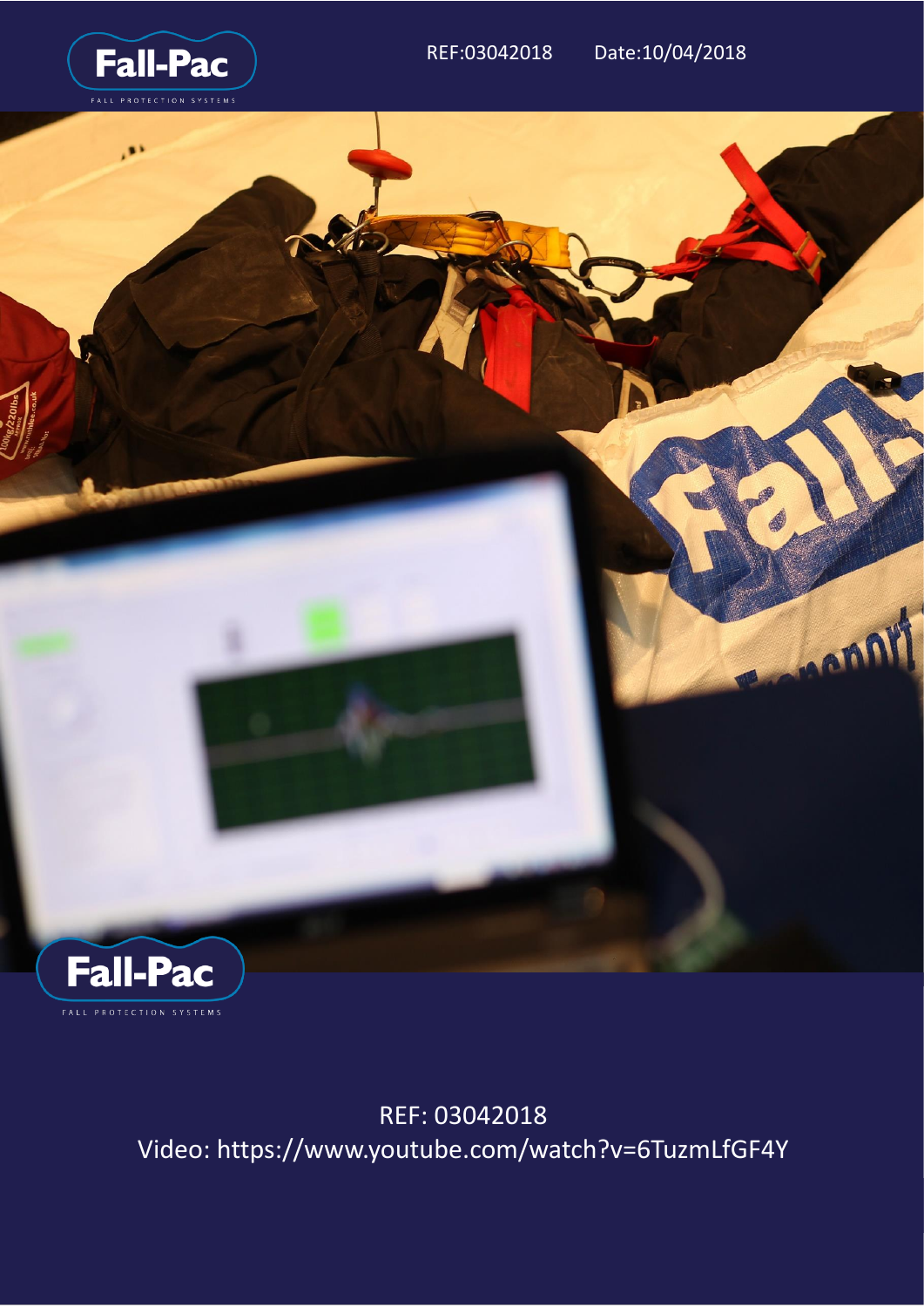

FALL PROTECTION SYSTEMS

REF: 03042018 Video: https://www.youtube.com/watch?v=6TuzmLfGF4Y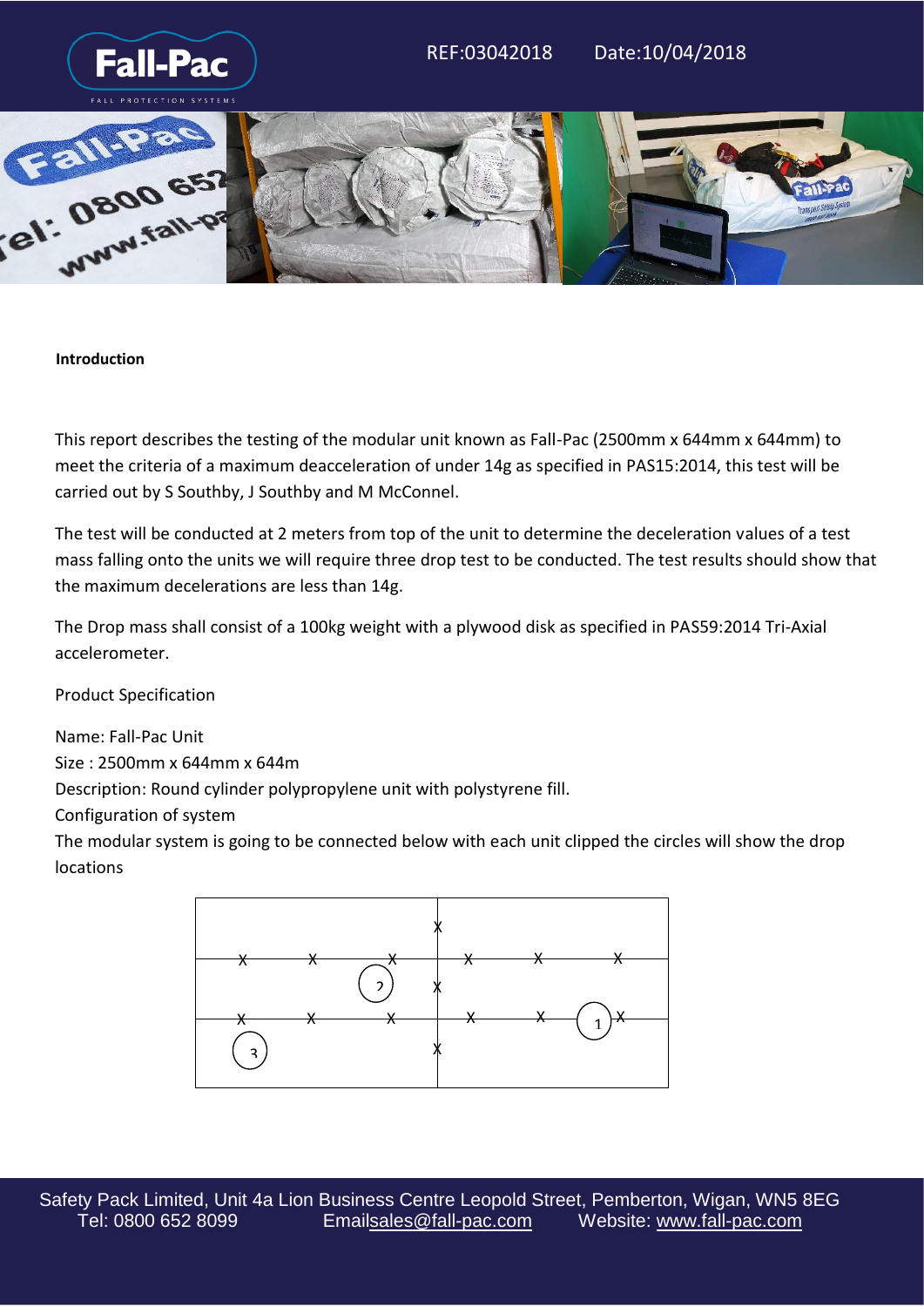

## **Introduction**

This report describes the testing of the modular unit known as Fall-Pac (2500mm x 644mm x 644mm) to meet the criteria of a maximum deacceleration of under 14g as specified in PAS15:2014, this test will be carried out by S Southby, J Southby and M McConnel.

The test will be conducted at 2 meters from top of the unit to determine the deceleration values of a test mass falling onto the units we will require three drop test to be conducted. The test results should show that the maximum decelerations are less than 14g.

The Drop mass shall consist of a 100kg weight with a plywood disk as specified in PAS59:2014 Tri-Axial accelerometer.

Product Specification

Name: Fall-Pac Unit Size : 2500mm x 644mm x 644m

Description: Round cylinder polypropylene unit with polystyrene fill.

Configuration of system

The modular system is going to be connected below with each unit clipped the circles will show the drop locations

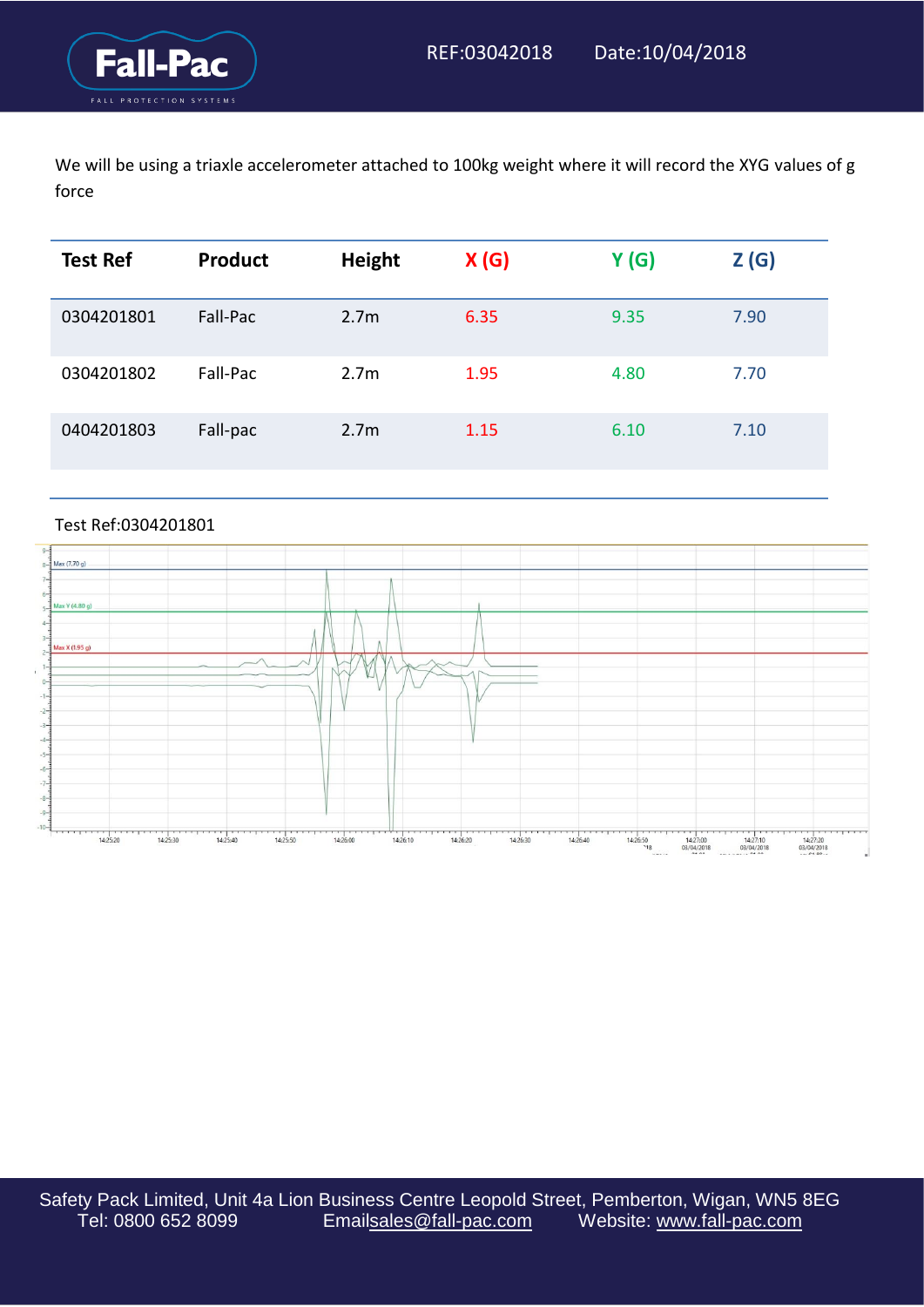We will be using a triaxle accelerometer attached to 100kg weight where it will record the XYG values of g force

| <b>Test Ref</b> | Product  | <b>Height</b>    | X(G) | Y(G) | Z(G) |
|-----------------|----------|------------------|------|------|------|
| 0304201801      | Fall-Pac | 2.7 <sub>m</sub> | 6.35 | 9.35 | 7.90 |
| 0304201802      | Fall-Pac | 2.7 <sub>m</sub> | 1.95 | 4.80 | 7.70 |
| 0404201803      | Fall-pac | 2.7 <sub>m</sub> | 1.15 | 6.10 | 7.10 |

## Test Ref:0304201801